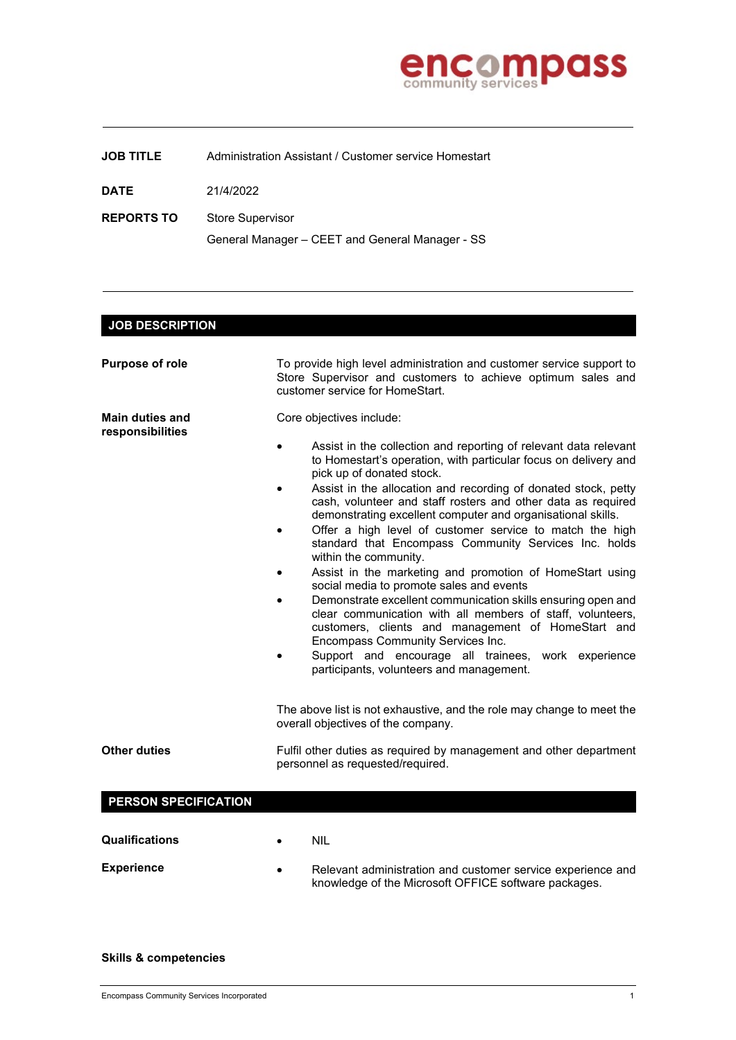

## **JOB TITLE** Administration Assistant / Customer service Homestart

**DATE** 21/4/2022

**REPORTS TO** Store Supervisor General Manager – CEET and General Manager - SS

## **JOB DESCRIPTION Purpose of role** To provide high level administration and customer service support to Store Supervisor and customers to achieve optimum sales and customer service for HomeStart. **Main duties and responsibilities** Core objectives include: Assist in the collection and reporting of relevant data relevant to Homestart's operation, with particular focus on delivery and pick up of donated stock. Assist in the allocation and recording of donated stock, petty cash, volunteer and staff rosters and other data as required demonstrating excellent computer and organisational skills. Offer a high level of customer service to match the high standard that Encompass Community Services Inc. holds within the community. Assist in the marketing and promotion of HomeStart using social media to promote sales and events • Demonstrate excellent communication skills ensuring open and clear communication with all members of staff, volunteers, customers, clients and management of HomeStart and Encompass Community Services Inc. Support and encourage all trainees, work experience participants, volunteers and management. The above list is not exhaustive, and the role may change to meet the overall objectives of the company. **Other duties** Fulfil other duties as required by management and other department personnel as requested/required. **PERSON SPECIFICATION Qualifications** • NIL **Experience** • Relevant administration and customer service experience and knowledge of the Microsoft OFFICE software packages.

## **Skills & competencies**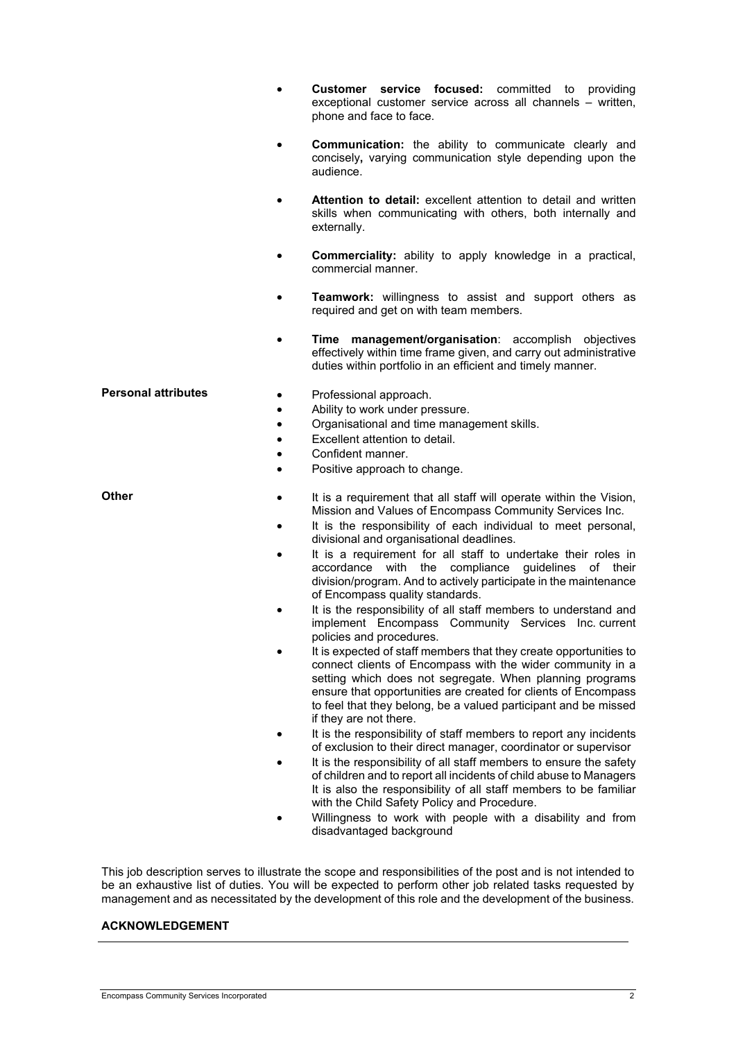| $\bullet$                                                                                        | Customer service focused: committed to<br>providina<br>exceptional customer service across all channels - written,<br>phone and face to face.                                                                                                                                                                                                                                                                                                                                                                                                                                                                                                                                                                                                                                                                                                                                                                                                                                                                                                                                                                                                                                                                                                                                                                                                                                                                                                                                                  |
|--------------------------------------------------------------------------------------------------|------------------------------------------------------------------------------------------------------------------------------------------------------------------------------------------------------------------------------------------------------------------------------------------------------------------------------------------------------------------------------------------------------------------------------------------------------------------------------------------------------------------------------------------------------------------------------------------------------------------------------------------------------------------------------------------------------------------------------------------------------------------------------------------------------------------------------------------------------------------------------------------------------------------------------------------------------------------------------------------------------------------------------------------------------------------------------------------------------------------------------------------------------------------------------------------------------------------------------------------------------------------------------------------------------------------------------------------------------------------------------------------------------------------------------------------------------------------------------------------------|
|                                                                                                  | <b>Communication:</b> the ability to communicate clearly and<br>concisely, varying communication style depending upon the<br>audience.                                                                                                                                                                                                                                                                                                                                                                                                                                                                                                                                                                                                                                                                                                                                                                                                                                                                                                                                                                                                                                                                                                                                                                                                                                                                                                                                                         |
| $\bullet$                                                                                        | <b>Attention to detail:</b> excellent attention to detail and written<br>skills when communicating with others, both internally and<br>externally.                                                                                                                                                                                                                                                                                                                                                                                                                                                                                                                                                                                                                                                                                                                                                                                                                                                                                                                                                                                                                                                                                                                                                                                                                                                                                                                                             |
|                                                                                                  | <b>Commerciality:</b> ability to apply knowledge in a practical,<br>commercial manner.                                                                                                                                                                                                                                                                                                                                                                                                                                                                                                                                                                                                                                                                                                                                                                                                                                                                                                                                                                                                                                                                                                                                                                                                                                                                                                                                                                                                         |
| $\bullet$                                                                                        | <b>Teamwork:</b> willingness to assist and support others as<br>required and get on with team members.                                                                                                                                                                                                                                                                                                                                                                                                                                                                                                                                                                                                                                                                                                                                                                                                                                                                                                                                                                                                                                                                                                                                                                                                                                                                                                                                                                                         |
|                                                                                                  | management/organisation: accomplish objectives<br>Time<br>effectively within time frame given, and carry out administrative<br>duties within portfolio in an efficient and timely manner.                                                                                                                                                                                                                                                                                                                                                                                                                                                                                                                                                                                                                                                                                                                                                                                                                                                                                                                                                                                                                                                                                                                                                                                                                                                                                                      |
| <b>Personal attributes</b><br>٠<br>$\bullet$<br>$\bullet$<br>$\bullet$<br>$\bullet$<br>$\bullet$ | Professional approach.<br>Ability to work under pressure.<br>Organisational and time management skills.<br>Excellent attention to detail.<br>Confident manner.<br>Positive approach to change.                                                                                                                                                                                                                                                                                                                                                                                                                                                                                                                                                                                                                                                                                                                                                                                                                                                                                                                                                                                                                                                                                                                                                                                                                                                                                                 |
| <b>Other</b><br>$\bullet$<br>$\bullet$<br>$\bullet$<br>٠                                         | It is a requirement that all staff will operate within the Vision,<br>Mission and Values of Encompass Community Services Inc.<br>It is the responsibility of each individual to meet personal,<br>divisional and organisational deadlines.<br>It is a requirement for all staff to undertake their roles in<br>accordance with the compliance guidelines of their<br>division/program. And to actively participate in the maintenance<br>of Encompass quality standards.<br>It is the responsibility of all staff members to understand and<br>implement Encompass Community Services Inc. current<br>policies and procedures.<br>It is expected of staff members that they create opportunities to<br>connect clients of Encompass with the wider community in a<br>setting which does not segregate. When planning programs<br>ensure that opportunities are created for clients of Encompass<br>to feel that they belong, be a valued participant and be missed<br>if they are not there.<br>It is the responsibility of staff members to report any incidents<br>of exclusion to their direct manager, coordinator or supervisor<br>It is the responsibility of all staff members to ensure the safety<br>of children and to report all incidents of child abuse to Managers<br>It is also the responsibility of all staff members to be familiar<br>with the Child Safety Policy and Procedure.<br>Willingness to work with people with a disability and from<br>disadvantaged background |

This job description serves to illustrate the scope and responsibilities of the post and is not intended to be an exhaustive list of duties. You will be expected to perform other job related tasks requested by management and as necessitated by the development of this role and the development of the business.

## **ACKNOWLEDGEMENT**

Encompass Community Services Incorporated 2